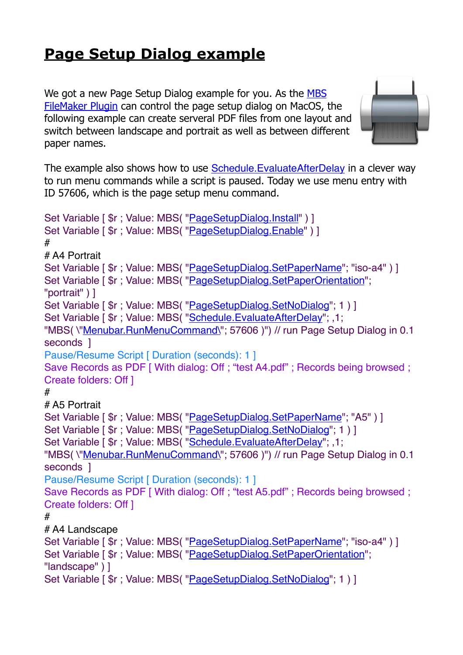## **[Page Setup Dialog example](https://www.mbs-plugins.com/archive/2019-06-01/Page_Setup_Dialog_example/monkeybreadsoftware_blog_filemaker)**

We got a new Page Setup Dialog example for you. As the MBS [FileMaker Plugin](http://monkeybreadsoftware.com/filemaker/) can control the page setup dialog on MacOS, the following example can create serveral PDF files from one layout and switch between landscape and portrait as well as between different paper names.



The example also shows how to use [Schedule.EvaluateAfterDelay](http://www.mbsplugins.eu/ScheduleEvaluateAfterDelay.shtml) in a clever way to run menu commands while a script is paused. Today we use menu entry with ID 57606, which is the page setup menu command.

```
"PageSetupDialog.Install" ) ]
"PageSetupDialog.Enable" ) ]
#
# A4 Portrait
Set Variable [ r : Value"PageSetupDialog.SetPaperName": "iso-a4" ) ]
"PageSetupDialog.SetPaperOrientation";
"portrait" ) ]
"PageSetupDialog.SetNoDialog"; 1) ]
Set Variable [ r"Schedule.EvaluateAfterDelay"; ,1;
"Menubar.RunMenuCommand\"; 57606 )") // run Page Setup Dialog in 0.1
seconds 1
Pause/Resume Script [ Duration (seconds): 1 ]
Save Records as PDF [ With dialog: Off ; "test A4.pdf" ; Records being browsed ;
Create folders: Off ]
#
# A5 Portrait
"PageSetupDialog.SetPaperName"; "A5" ) ]
Set Variable [ r : Value"PageSetupDialog.SetNoDialog"; 1 ) ]
Set Variable [ $r ; Value: MBS( "Schedule.EvaluateAfterDelay"; ,1; 
"MBS( \"Menubar.RunMenuCommand\"; 57606 )") // run Page Setup Dialog in 0.1 
seconds ]
Pause/Resume Script [ Duration (seconds): 1 ]
Save Records as PDF [ With dialog: Off ; "test A5.pdf" ; Records being browsed ;
Create folders: Off ]
#
# A4 Landscape
Set Variable [ r : Value"PageSetupDialog.SetPaperName"; "iso-a4" ) ]
"PageSetupDialog.SetPaperOrientation";
"landscape" ) ]
Set Variable [ r : Value"PageSetupDialog.SetNoDialog"; 1 ) ]
```